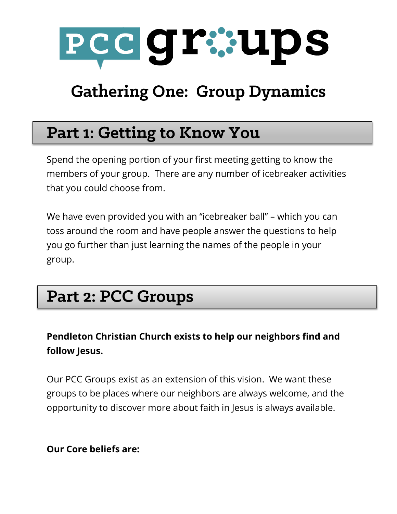

# **Gathering One: Group Dynamics**

### **Part 1: Getting to Know You**

Spend the opening portion of your first meeting getting to know the members of your group. There are any number of icebreaker activities that you could choose from.

We have even provided you with an "icebreaker ball" – which you can toss around the room and have people answer the questions to help you go further than just learning the names of the people in your group.

## **Part 2: PCC Groups**

### **Pendleton Christian Church exists to help our neighbors find and follow Jesus.**

Our PCC Groups exist as an extension of this vision. We want these groups to be places where our neighbors are always welcome, and the opportunity to discover more about faith in Jesus is always available.

**Our Core beliefs are:**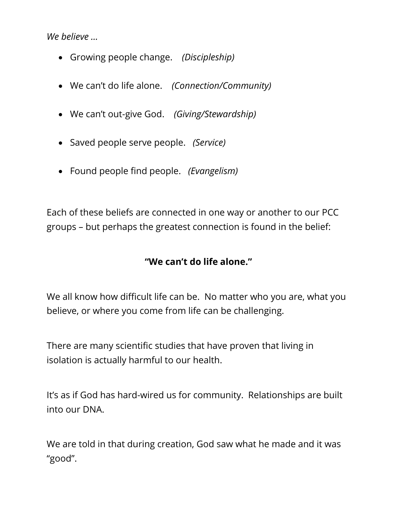*We believe …*

- Growing people change. *(Discipleship)*
- We can't do life alone. *(Connection/Community)*
- We can't out-give God. *(Giving/Stewardship)*
- Saved people serve people. *(Service)*
- Found people find people. *(Evangelism)*

Each of these beliefs are connected in one way or another to our PCC groups – but perhaps the greatest connection is found in the belief:

#### **"We can't do life alone."**

We all know how difficult life can be. No matter who you are, what you believe, or where you come from life can be challenging.

There are many scientific studies that have proven that living in isolation is actually harmful to our health.

It's as if God has hard-wired us for community. Relationships are built into our DNA.

We are told in that during creation, God saw what he made and it was "good".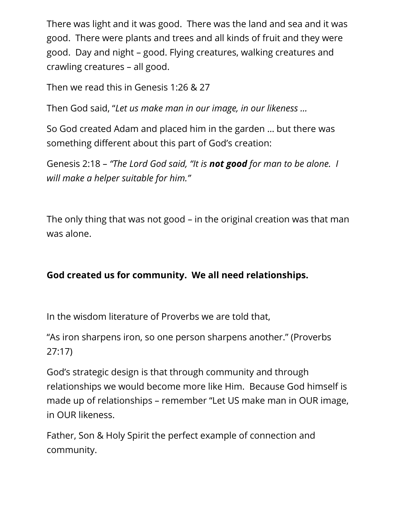There was light and it was good. There was the land and sea and it was good. There were plants and trees and all kinds of fruit and they were good. Day and night – good. Flying creatures, walking creatures and crawling creatures – all good.

Then we read this in Genesis 1:26 & 27

Then God said, "*Let us make man in our image, in our likeness …*

So God created Adam and placed him in the garden … but there was something different about this part of God's creation:

Genesis 2:18 – *"The Lord God said, "It is not good for man to be alone. I will make a helper suitable for him."*

The only thing that was not good – in the original creation was that man was alone.

### **God created us for community. We all need relationships.**

In the wisdom literature of Proverbs we are told that,

"As iron sharpens iron, so one person sharpens another." (Proverbs 27:17)

God's strategic design is that through community and through relationships we would become more like Him. Because God himself is made up of relationships – remember "Let US make man in OUR image, in OUR likeness.

Father, Son & Holy Spirit the perfect example of connection and community.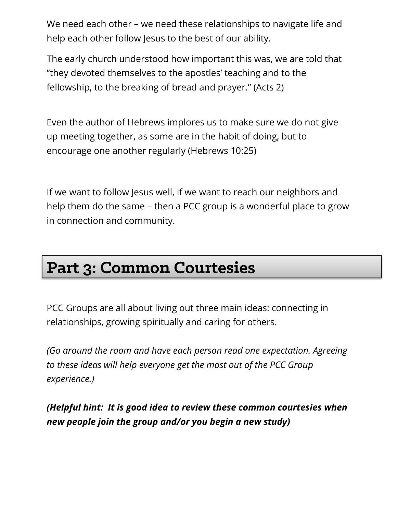We need each other – we need these relationships to navigate life and help each other follow Jesus to the best of our ability.

The early church understood how important this was, we are told that "they devoted themselves to the apostles' teaching and to the fellowship, to the breaking of bread and prayer." (Acts 2)

Even the author of Hebrews implores us to make sure we do not give up meeting together, as some are in the habit of doing, but to encourage one another regularly (Hebrews 10:25)

If we want to follow Jesus well, if we want to reach our neighbors and help them do the same – then a PCC group is a wonderful place to grow in connection and community.

## Part 3: Common Courtesies

PCC Groups are all about living out three main ideas: connecting in relationships, growing spiritually and caring for others.

*(Go around the room and have each person read one expectation. Agreeing to these ideas will help everyone get the most out of the PCC Group experience.)*

*(Helpful hint: It is good idea to review these common courtesies when new people join the group and/or you begin a new study)*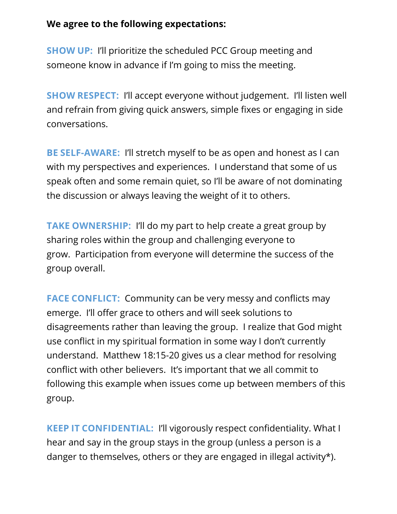#### **We agree to the following expectations:**

**SHOW UP:** I'll prioritize the scheduled PCC Group meeting and someone know in advance if I'm going to miss the meeting.

**SHOW RESPECT:** I'll accept everyone without judgement. I'll listen well and refrain from giving quick answers, simple fixes or engaging in side conversations.

**BE SELF-AWARE:** I'll stretch myself to be as open and honest as I can with my perspectives and experiences. I understand that some of us speak often and some remain quiet, so I'll be aware of not dominating the discussion or always leaving the weight of it to others.

**TAKE OWNERSHIP:** I'll do my part to help create a great group by sharing roles within the group and challenging everyone to grow. Participation from everyone will determine the success of the group overall.

**FACE CONFLICT:** Community can be very messy and conflicts may emerge. I'll offer grace to others and will seek solutions to disagreements rather than leaving the group. I realize that God might use conflict in my spiritual formation in some way I don't currently understand. Matthew 18:15-20 gives us a clear method for resolving conflict with other believers. It's important that we all commit to following this example when issues come up between members of this group.

**KEEP IT CONFIDENTIAL:** I'll vigorously respect confidentiality. What I hear and say in the group stays in the group (unless a person is a danger to themselves, others or they are engaged in illegal activity\*).